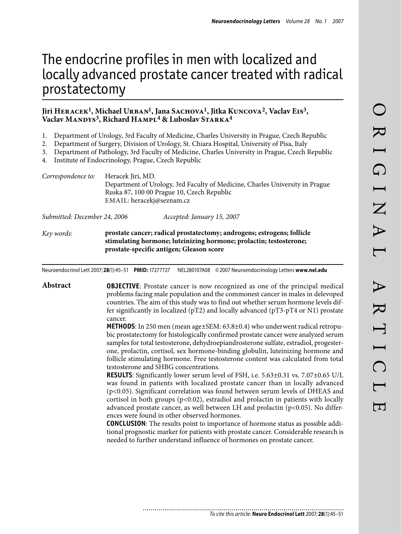# The endocrine profiles in men with localized and locally advanced prostate cancer treated with radical prostatectomy

#### Jiri HERACEK<sup>1</sup>, Michael URBAN<sup>1</sup>, Jana SACHOVA<sup>1</sup>, Jitka KUNCOVA<sup>2</sup>, Vaclav E1s<sup>3</sup>, Vaclav MANDYS<sup>3</sup>, Richard HAMPL<sup>4</sup> & Luboslav STARKA<sup>4</sup>

- Department of Urology, 3rd Faculty of Medicine, Charles University in Prague, Czech Republic 1.
- Department of Surgery, Division of Urology, St. Chiara Hospital, University of Pisa, Italy 2.
- Department of Pathology, 3rd Faculty of Medicine, Charles University in Prague, Czech Republic 3.
- Institute of Endocrinology, Prague, Czech Republic 4.

*Correspondence to:* Heracek Jiri, MD. Department of Urology, 3rd Faculty of Medicine, Charles University in Prague Ruska 87, 100 00 Prague 10, Czech Republic EMAIL: heracekj@seznam.cz

*Submitted: December 24, 2006 Accepted: January 15, 2007*

*Key words:* **prostate cancer; radical prostatectomy; androgens; estrogens; follicle stimulating hormone; luteinizing hormone; prolactin; testosterone; prostate-specific antigen; Gleason score**

Neuroendocrinol Lett 2007; **28**(1):45–51 **PMID:** 17277727 NEL280107A08 ©2007 Neuroendocrinology Letters **www.nel.edu**

**Abstract OBJECTIVE**: Prostate cancer is now recognized as one of the principal medical problems facing male population and the commonest cancer in males in delevoped countries. The aim of this study was to find out whether serum hormone levels differ significantly in localized ( $pT2$ ) and locally advanced ( $pT3-pT4$  or N1) prostate cancer.

> **METHODS**: In 250 men (mean age±SEM: 63.8±0.4) who underwent radical retropubic prostatectomy for histologically confirmed prostate cancer were analyzed serum samples for total testosterone, dehydroepiandrosterone sulfate, estradiol, progesterone, prolactin, cortisol, sex hormone-binding globulin, luteinizing hormone and follicle stimulating hormone. Free testosterone content was calculated from total testosterone and SHBG concentrations.

> **RESULTS**: Significantly lower serum level of FSH, i.e. 5.63±0.31 vs. 7.07±0.65 U/L was found in patients with localized prostate cancer than in locally advanced (p<0.05). Significant correlation was found between serum levels of DHEAS and cortisol in both groups  $(p<0.02)$ , estradiol and prolactin in patients with locally advanced prostate cancer, as well between LH and prolactin  $(p<0.05)$ . No differences were found in other observed hormones.

> **CONCLUSION**: The results point to importance of hormone status as possible additional prognostic marker for patients with prostate cancer. Considerable research is needed to further understand influence of hormones on prostate cancer.

> > ............................. *To cite this article:* **Neuro Endocrinol Lett** 2007; **28**(1):45–51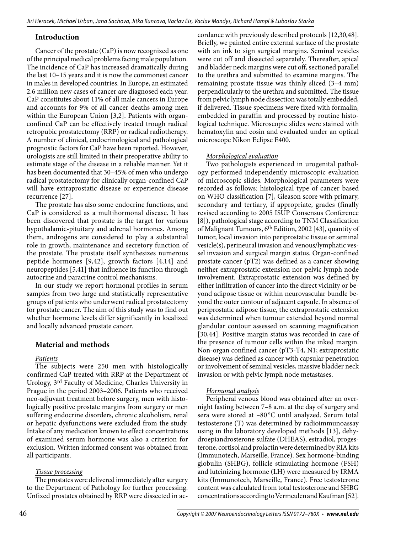## **Introduction**

Cancer of the prostate (CaP) is now recognized as one of the principal medical problems facing male population. The incidence of CaP has increased dramatically during the last 10–15 years and it is now the commonest cancer in males in developed countries. In Europe, an estimated 2.6 million new cases of cancer are diagnosed each year. CaP constitutes about 11% of all male cancers in Europe and accounts for 9% of all cancer deaths among men within the European Union [3,2]. Patients with organconfined CaP can be effectively treated trough radical retropubic prostatectomy (RRP) or radical radiotherapy. A number of clinical, endocrinological and pathological prognostic factors for CaP have been reported. However, urologists are still limited in their preoperative ability to estimate stage of the disease in a reliable manner. Yet it has been documented that 30–45% of men who undergo radical prostatectomy for clinically organ-confined CaP will have extraprostatic disease or experience disease recurrence [27].

The prostate has also some endocrine functions, and CaP is considered as a multihormonal disease. It has been discovered that prostate is the target for various hypothalamic-pituitary and adrenal hormones. Among them, androgens are considered to play a substantial role in growth, maintenance and secretory function of the prostate. The prostate itself synthesizes numerous peptide hormones [9,42], growth factors [4,14] and neuropeptides [5,41] that influence its function through autocrine and paracrine control mechanisms.

In our study we report hormonal profiles in serum samples from two large and statistically representative groups of patients who underwent radical prostatectomy for prostate cancer. The aim of this study was to find out whether hormone levels differ significantly in localized and locally advanced prostate cancer.

## **Material and methods**

## *Patients*

The subjects were 250 men with histologically confirmed CaP treated with RRP at the Department of Urology, 3rd Faculty of Medicine, Charles University in Prague in the period 2003–2006. Patients who received neo-adjuvant treatment before surgery, men with histologically positive prostate margins from surgery or men suffering endocrine disorders, chronic alcoholism, renal or hepatic dysfunctions were excluded from the study. Intake of any medication known to effect concentrations of examined serum hormone was also a criterion for exclusion. Written informed consent was obtained from all participants.

## *Tissue processing*

The prostates were delivered immediately after surgery to the Department of Pathology for further processing. Unfixed prostates obtained by RRP were dissected in ac-

cordance with previously described protocols [12,30,48]. Briefly, we painted entire external surface of the prostate with an ink to sign surgical margins. Seminal vesicles were cut off and dissected separately. Thereafter, apical and bladder neck margins were cut off, sectioned parallel to the urethra and submitted to examine margins. The remaining prostate tissue was thinly sliced (3–4 mm) perpendicularly to the urethra and submitted. The tissue from pelvic lymph node dissection was totally embedded, if delivered. Tissue specimens were fixed with formalin, embedded in paraffin and processed by routine histological technique. Microscopic slides were stained with hematoxylin and eosin and evaluated under an optical microscope Nikon Eclipse E400.

## *Morphological evaluation*

Two pathologists experienced in urogenital pathology performed independently microscopic evaluation of microscopic slides. Morphological parameters were recorded as follows: histological type of cancer based on WHO classification [7], Gleason score with primary, secondary and tertiary, if appropriate, grades (finally revised according to 2005 ISUP Consensus Conference [8]), pathological stage according to TNM Classification of Malignant Tumours, 6th Edition, 2002 [43], quantity of tumor, local invasion into periprostatic tissue or seminal vesicle(s), perineural invasion and venous/lymphatic vessel invasion and surgical margin status. Organ-confined prostate cancer (pT2) was defined as a cancer showing neither extraprostatic extension nor pelvic lymph node involvement. Extraprostatic extension was defined by either infiltration of cancer into the direct vicinity or beyond adipose tissue or within neurovascular bundle beyond the outer contour of adjacent capsule. In absence of periprostatic adipose tissue, the extraprostatic extension was determined when tumour extended beyond normal glandular contour assessed on scanning magnification [30,44]. Positive margin status was recorded in case of the presence of tumour cells within the inked margin. Non-organ confined cancer (pT3-T4, N1; extraprostatic disease) was defined as cancer with capsular penetration or involvement of seminal vesicles, massive bladder neck invasion or with pelvic lymph node metastases.

### *Hormonal analysis*

Peripheral venous blood was obtained after an overnight fasting between 7–8 a.m. at the day of surgery and sera were stored at –80 °C until analyzed. Serum total testosterone (T) was determined by radioimmunoassay using in the laboratory developed methods [13], dehydroepiandrosterone sulfate (DHEAS), estradiol, progesterone, cortisol and prolactin were determined by RIA kits (Immunotech, Marseille, France). Sex hormone-binding globulin (SHBG), follicle stimulating hormone (FSH) and luteinizing hormone (LH) were measured by IRMA kits (Immunotech, Marseille, France). Free testosterone content was calculated from total testosterone and SHBG concentrations according to Vermeulen and Kaufman [52].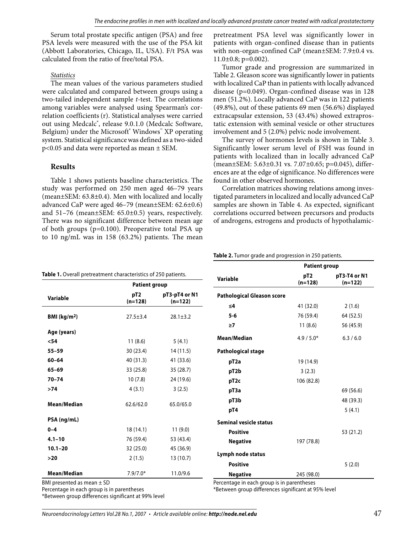Serum total prostate specific antigen (PSA) and free PSA levels were measured with the use of the PSA kit (Abbott Laboratories, Chicago, IL, USA). F/t PSA was calculated from the ratio of free/total PSA.

#### *Statistics*

The mean values of the various parameters studied were calculated and compared between groups using a two-tailed independent sample *t*-test. The correlations among variables were analysed using Spearman's correlation coefficients (r). Statistical analyses were carried out using Medcalc<sup>®</sup>, release 9.0.1.0 (Medcalc Software, Belgium) under the Microsoft® Windows™ XP operating system. Statistical significancewas defined as a two-sided p<0.05 and data were reported as mean ± SEM.

## **Results**

Table 1 shows patients baseline characteristics. The study was performed on 250 men aged 46–79 years (mean±SEM: 63.8±0.4). Men with localized and locally advanced CaP were aged 46–79 (mean±SEM: 62.6±0.6) and 51–76 (mean±SEM: 65.0±0.5) years, respectively. There was no significant difference between mean age of both groups (p=0.100). Preoperative total PSA up to 10 ng/mL was in 158 (63.2%) patients. The mean

pretreatment PSA level was significantly lower in patients with organ-confined disease than in patients with non-organ-confined CaP (mean±SEM: 7.9±0.4 vs. 11.0±0.8; p=0.002).

Tumor grade and progression are summarized in Table 2. Gleason score was significantly lower in patients with localized CaP than in patients with locally advanced disease (p=0.049). Organ-confined disease was in 128 men (51.2%). Locally advanced CaP was in 122 patients (49.8%), out of these patients 69 men (56.6%) displayed extracapsular extension, 53 (43.4%) showed extraprostatic extension with seminal vesicle or other structures involvement and 5 (2.0%) pelvic node involvement.

The survey of hormones levels is shown in Table 3. Significantly lower serum level of FSH was found in patients with localized than in locally advanced CaP (mean±SEM: 5.63±0.31 vs. 7.07±0.65; p=0.045), differences are at the edge of significance. No differences were found in other observed hormones.

Correlation matrices showing relations among investigated parameters in localized and locally advanced CaP samples are shown in Table 4. As expected, significant correlations occurred between precursors and products of androgens, estrogens and products of hypothalamic-

**Table 2.** Tumor grade and progression in 250 patients.

|                                                                |                              |                            |                                   | <b>Patient group</b>         |                           |  |
|----------------------------------------------------------------|------------------------------|----------------------------|-----------------------------------|------------------------------|---------------------------|--|
| Table 1. Overall pretreatment characteristics of 250 patients. | <b>Patient group</b>         |                            | Variable                          | pT <sub>2</sub><br>$(n=128)$ | pT3-T4 or N1<br>$(n=122)$ |  |
| Variable                                                       | pT <sub>2</sub><br>$(n=128)$ | pT3-pT4 or N1<br>$(n=122)$ | <b>Pathological Gleason score</b> |                              |                           |  |
|                                                                |                              |                            | ≤4                                | 41 (32.0)                    | 2(1.6)                    |  |
| BMI ( $kg/m2$ )                                                | $27.5 \pm 3.4$               | $28.1 \pm 3.2$             | $5 - 6$                           | 76 (59.4)                    | 64 (52.5)                 |  |
|                                                                |                              |                            | $\geq 7$                          | 11(8.6)                      | 56 (45.9)                 |  |
| Age (years)                                                    |                              |                            | Mean/Median                       | $4.9/5.0*$                   | 6.3 / 6.0                 |  |
| $54$                                                           | 11(8.6)                      | 5(4.1)                     |                                   |                              |                           |  |
| $55 - 59$                                                      | 30(23.4)                     | 14 (11.5)                  | <b>Pathological stage</b>         |                              |                           |  |
| $60 - 64$                                                      | 40 (31.3)                    | 41 (33.6)                  | pT <sub>2a</sub>                  | 19 (14.9)                    |                           |  |
| $65 - 69$                                                      | 33 (25.8)                    | 35 (28.7)                  | pT2b                              | 3(2.3)                       |                           |  |
| $70 - 74$                                                      | 10(7.8)                      | 24 (19.6)                  | pT <sub>2c</sub>                  | 106 (82.8)                   |                           |  |
| >74                                                            | 4(3.1)                       | 3(2.5)                     | pT3a                              |                              | 69 (56.6)                 |  |
| Mean/Median                                                    | 62.6/62.0                    | 65.0/65.0                  | pT3b                              |                              | 48 (39.3)                 |  |
|                                                                |                              |                            | pT4                               |                              | 5(4.1)                    |  |
| PSA (ng/mL)                                                    |                              |                            | <b>Seminal vesicle status</b>     |                              |                           |  |
| $0 - 4$                                                        | 18(14.1)                     | 11(9.0)                    | <b>Positive</b>                   |                              | 53 (21.2)                 |  |
| $4.1 - 10$                                                     | 76 (59.4)                    | 53 (43.4)                  | <b>Negative</b>                   | 197 (78.8)                   |                           |  |
| $10.1 - 20$                                                    | 32 (25.0)                    | 45 (36.9)                  |                                   |                              |                           |  |
| $>20$                                                          | 2(1.5)                       | 13 (10.7)                  | Lymph node status                 |                              |                           |  |
|                                                                |                              |                            | <b>Positive</b>                   |                              | 5(2.0)                    |  |
| Mean/Median                                                    | $7.9/7.0*$                   | 11.0/9.6                   | <b>Negative</b>                   | 245 (98.0)                   |                           |  |

Percentage in each group is in parentheses

\*Between group differences significant at 99% level

\*Between group differences significant at 95% level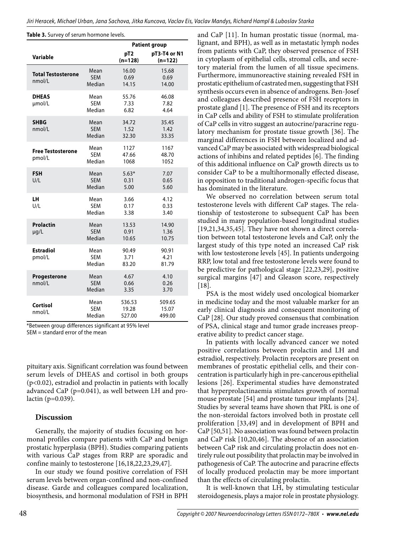**Table 3.** Survey of serum hormone levels.

|                                     |                              |                              | <b>Patient group</b>      |  |  |  |
|-------------------------------------|------------------------------|------------------------------|---------------------------|--|--|--|
| <b>Variable</b>                     |                              | pT <sub>2</sub><br>$(n=128)$ | pT3-T4 or N1<br>$(n=122)$ |  |  |  |
| <b>Total Testosterone</b><br>nmol/L | Mean<br><b>SEM</b><br>Median | 16.00<br>0.69<br>14.15       | 15.68<br>0.69<br>14.00    |  |  |  |
| <b>DHEAS</b><br>µmol/L              | Mean<br><b>SEM</b><br>Median | 55.76<br>7.33<br>6.82        | 46.08<br>7.82<br>4.64     |  |  |  |
| <b>SHBG</b><br>nmol/L               | Mean<br><b>SEM</b><br>Median | 34.72<br>1.52<br>32.30       | 35.45<br>1.42<br>33.35    |  |  |  |
| <b>Free Testosterone</b><br>pmol/L  | Mean<br><b>SEM</b><br>Median | 1127<br>47.66<br>1068        | 1167<br>48.70<br>1052     |  |  |  |
| <b>FSH</b><br>U/L                   | Mean<br><b>SEM</b><br>Median | $5.63*$<br>0.31<br>5.00      | 7.07<br>0.65<br>5.60      |  |  |  |
| LH<br>U/L                           | Mean<br><b>SEM</b><br>Median | 3.66<br>0.17<br>3.38         | 4.12<br>0.33<br>3.40      |  |  |  |
| <b>Prolactin</b><br>$\mu q/L$       | Mean<br><b>SEM</b><br>Median | 13.53<br>0.91<br>10.65       | 14.90<br>1.36<br>10.75    |  |  |  |
| <b>Estradiol</b><br>pmol/L          | Mean<br><b>SEM</b><br>Median | 90.49<br>3.71<br>83.20       | 90.91<br>4.21<br>81.79    |  |  |  |
| Progesterone<br>nmol/l              | Mean<br><b>SEM</b><br>Median | 4.67<br>0.66<br>3.35         | 4.10<br>0.26<br>3.70      |  |  |  |
| Cortisol<br>nmol/L                  | Mean<br><b>SEM</b><br>Median | 536.53<br>19.28<br>527.00    | 509.65<br>15.07<br>499.00 |  |  |  |

\*Between group differences significant at 95% level SEM = standard error of the mean

pituitary axis. Significant correlation was found between serum levels of DHEAS and cortisol in both groups (p<0.02), estradiol and prolactin in patients with locally advanced CaP (p=0.041), as well between LH and prolactin (p=0.039).

#### **Discussion**

Generally, the majority of studies focusing on hormonal profiles compare patients with CaP and benign prostatic hyperplasia (BPH). Studies comparing patients with various CaP stages from RRP are sporadic and confine mainly to testosterone [16,18,22,23,29,47].

In our study we found positive correlation of FSH serum levels between organ-confined and non-confined disease. Garde and colleagues compared localization, biosynthesis, and hormonal modulation of FSH in BPH

and CaP [11]. In human prostatic tissue (normal, malignant, and BPH), as well as in metastatic lymph nodes from patients with CaP, they observed presence of FSH in cytoplasm of epithelial cells, stromal cells, and secretory material from the lumen of all tissue specimens. Furthermore, immunoreactive staining revealed FSH in prostatic epithelium of castrated men, suggesting that FSH synthesis occurs even in absence of androgens. Ben-Josef and colleagues described presence of FSH receptors in prostate gland [1]. The presence of FSH and its receptors in CaP cells and ability of FSH to stimulate proliferation of CaP cells in vitro suggest an autocrine/paracrine regulatory mechanism for prostate tissue growth [36]. The marginal differences in FSH between localized and advanced CaP may be associated with widespread biological actions of inhibins and related peptides [6]. The finding of this additional influence on CaP growth directs us to consider CaP to be a multihormonally effected disease, in opposition to traditional androgen-specific focus that has dominated in the literature.

We observed no correlation between serum total testosterone levels with different CaP stages. The relationship of testosterone to subsequent CaP has been studied in many population-based longitudinal studies [19,21,34,35,45]. They have not shown a direct correlation between total testosterone levels and CaP, only the largest study of this type noted an increased CaP risk with low testosterone levels [45]. In patients undergoing RRP, low total and free testosterone levels were found to be predictive for pathological stage [22,23,29], positive surgical margins [47] and Gleason score, respectively [18].

PSA is the most widely used oncological biomarker in medicine today and the most valuable marker for an early clinical diagnosis and consequent monitoring of CaP [28]. Our study proved consensus that combination of PSA, clinical stage and tumor grade increases preoperative ability to predict cancer stage.

In patients with locally advanced cancer we noted positive correlations between prolactin and LH and estradiol, respectively. Prolactin receptors are present on membranes of prostatic epithelial cells, and their concentration is particularly high in pre-cancerous epithelial lesions [26]. Experimental studies have demonstrated that hyperprolactinaemia stimulates growth of normal mouse prostate [54] and prostate tumour implants [24]. Studies by several teams have shown that PRL is one of the non-steroidal factors involved both in prostate cell proliferation [33,49] and in development of BPH and CaP [50,51]. No association was found between prolactin and CaP risk [10,20,46]. The absence of an association between CaP risk and circulating prolactin does not entirely rule out possibility that prolactin may be involved in pathogenesis of CaP. The autocrine and paracrine effects of locally produced prolactin may be more important than the effects of circulating prolactin.

It is well-known that LH, by stimulating testicular steroidogenesis, plays a major role in prostate physiology.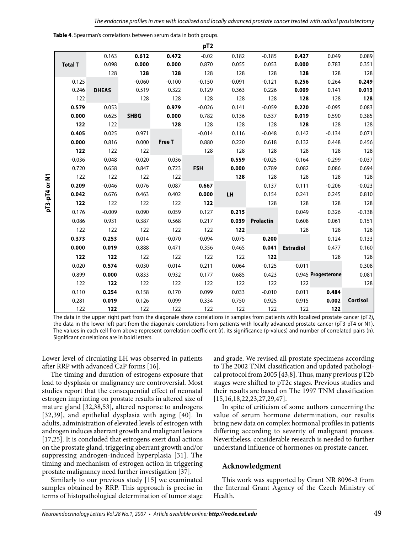|                |              |             |          | pT <sub>2</sub> |          |                  |                  |                    |                 |
|----------------|--------------|-------------|----------|-----------------|----------|------------------|------------------|--------------------|-----------------|
|                | 0.163        | 0.612       | 0.472    | $-0.02$         | 0.182    | $-0.185$         | 0.427            | 0.049              | 0.089           |
| <b>Total T</b> | 0.098        | 0.000       | 0.000    | 0.870           | 0.055    | 0.053            | 0.000            | 0.783              | 0.351           |
|                | 128          | 128         | 128      | 128             | 128      | 128              | 128              | 128                | 128             |
| 0.125          |              | $-0.060$    | $-0.100$ | $-0.150$        | $-0.091$ | $-0.121$         | 0.256            | 0.264              | 0.249           |
| 0.246          | <b>DHEAS</b> | 0.519       | 0.322    | 0.129           | 0.363    | 0.226            | 0.009            | 0.141              | 0.013           |
| 122            |              | 128         | 128      | 128             | 128      | 128              | 128              | 128                | 128             |
| 0.579          | 0.053        |             | 0.979    | $-0.026$        | 0.141    | $-0.059$         | 0.220            | $-0.095$           | 0.083           |
| 0.000          | 0.625        | <b>SHBG</b> | 0.000    | 0.782           | 0.136    | 0.537            | 0.019            | 0.590              | 0.385           |
| 122            | 122          |             | 128      | 128             | 128      | 128              | 128              | 128                | 128             |
| 0.405          | 0.025        | 0.971       |          | $-0.014$        | 0.116    | $-0.048$         | 0.142            | $-0.134$           | 0.071           |
| 0.000          | 0.816        | 0.000       | Free T   | 0.880           | 0.220    | 0.618            | 0.132            | 0.448              | 0.456           |
| 122            | 122          | 122         |          | 128             | 128      | 128              | 128              | 128                | 128             |
| $-0.036$       | 0.048        | $-0.020$    | 0.036    |                 | 0.559    | $-0.025$         | $-0.164$         | $-0.299$           | $-0.037$        |
| 0.720          | 0.658        | 0.847       | 0.723    | <b>FSH</b>      | 0.000    | 0.789            | 0.082            | 0.086              | 0.694           |
| 122            | 122          | 122         | 122      |                 | 128      | 128              | 128              | 128                | 128             |
| 0.209          | $-0.046$     | 0.076       | 0.087    | 0.667           |          | 0.137            | 0.111            | $-0.206$           | $-0.023$        |
| 0.042          | 0.676        | 0.463       | 0.402    | 0.000           | LH       | 0.154            | 0.241            | 0.245              | 0.810           |
| 122            | 122          | 122         | 122      | 122             |          | 128              | 128              | 128                | 128             |
| 0.176          | $-0.009$     | 0.090       | 0.059    | 0.127           | 0.215    |                  | 0.049            | 0.326              | $-0.138$        |
| 0.086          | 0.931        | 0.387       | 0.568    | 0.217           | 0.039    | <b>Prolactin</b> | 0.608            | 0.061              | 0.151           |
| 122            | 122          | 122         | 122      | 122             | 122      |                  | 128              | 128                | 128             |
| 0.373          | 0.253        | 0.014       | $-0.070$ | $-0.094$        | 0.075    | 0.200            |                  | 0.124              | 0.133           |
| 0.000          | 0.019        | 0.888       | 0.471    | 0.356           | 0.465    | 0.041            | <b>Estradiol</b> | 0.477              | 0.160           |
| 122            | 122          | 122         | 122      | 122             | 122      | 122              |                  | 128                | 128             |
| 0.020          | 0.574        | $-0.030$    | $-0.014$ | 0.211           | 0.064    | $-0.125$         | $-0.011$         |                    | 0.308           |
| 0.899          | 0.000        | 0.833       | 0.932    | 0.177           | 0.685    | 0.423            |                  | 0.945 Progesterone | 0.081           |
| 122            | 122          | 122         | 122      | 122             | 122      | 122              | 122              |                    | 128             |
| 0.110          | 0.254        | 0.158       | 0.170    | 0.099           | 0.033    | $-0.010$         | 0.011            | 0.484              |                 |
| 0.281          | 0.019        | 0.126       | 0.099    | 0.334           | 0.750    | 0.925            | 0.915            | 0.002              | <b>Cortisol</b> |
| 122            | 122          | 122         | 122      | 122             | 122      | 122              | 122              | 122                |                 |

The data in the upper right part from the diagonale show correlations in samples from patients with localized prostate cancer (pT2), the data in the lower left part from the diagonale correlations from patients with locally advanced prostate cancer (pT3-pT4 or N1). The values in each cell from above represent correlation coefficient (r), its significance (p-values) and number of correlated pairs (n). Significant correlations are in bold letters.

Lower level of circulating LH was observed in patients after RRP with advanced CaP forms [16].

oT3-pT4 or N1 **pT3-pT4 or N1**

The timing and duration of estrogens exposure that lead to dysplasia or malignancy are controversial. Most studies report that the consequential effect of neonatal estrogen imprinting on prostate results in altered size of mature gland [32,38,53], altered response to androgens [32,39], and epithelial dysplasia with aging [40]. In adults, administration of elevated levels of estrogen with androgen induces aberrant growth and malignant lesions [17,25]. It is concluded that estrogens exert dual actions on the prostate gland, triggering aberrant growth and/or suppressing androgen-induced hyperplasia [31]. The timing and mechanism of estrogen action in triggering prostate malignancy need further investigation [37].

Similarly to our previous study [15] we examinated samples obtained by RRP. This approach is precise in terms of histopathological determination of tumor stage

and grade. We revised all prostate specimens according to The 2002 TNM classification and updated pathological protocol from 2005 [43,8]. Thus, many previous pT2b stages were shifted to pT2c stages. Previous studies and their results are based on The 1997 TNM classification [15,16,18,22,23,27,29,47].

In spite of criticism of some authors concerning the value of serum hormone determination, our results bring new data on complex hormonal profiles in patients differing according to severity of malignant process. Nevertheless, considerable research is needed to further understand influence of hormones on prostate cancer.

## **Acknowledgment**

This work was supported by Grant NR 8096-3 from the Internal Grant Agency of the Czech Ministry of Health.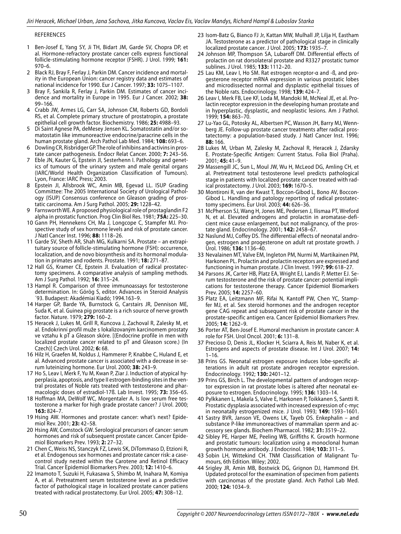#### References

- Ben-Josef E, Yang SY, Ji TH, Bidart JM, Garde SV, Chopra DP, et al. Hormone-refractory prostate cancer cells express functional follicle-stimulating hormone receptor (FSHR). J Urol. 1999; **161:**  970–6. 1
- 2 Black RJ, Bray F, Ferlay J, Parkin DM. Cancer incidence and mortality in the European Union: cancer registry data and estimates of national incidence for 1990. Eur J Cancer. 1997; **33:** 1075–1107.
- 3 Bray F, Sankila R, Ferlay J, Parkin DM. Estimates of cancer incidence and mortality in Europe in 1995. Eur J Cancer. 2002; **38:**  99–166.
- Crabb JW, Armes LG, Carr SA, Johnson CM, Roberts GD, Bordoli RS, et al. Complete primary structure of prostatropin, a prostate epithelial cell growth factor. Biochemistry. 1986; **25:** 4988–93. 4
- Di Saint Agnese PA, deMesey Jensen KL. Somatostatin and/or so-5 matostatin like immunoreactive endocrine/paracrine cells in the human prostate gland. Arch Pathol Lab Med. 1984; **108:** 693–6.
- Dowling CR, Risbridger GP. The role of inhibins and activins in prostate cancer pathogenesis. Endocr Relat Cancer. 2000; **7:** 243–56. 6
- Eble JN, Kauter G, Epstein JI, Sesterhenn I. Pathology and genetics of tumours of the urinary system and male genital organs (IARC/World Health Organization Classification of Tumours). Lyon, France: IARC Press; 2003. 7
- 8 Epstein JI, Allsbrook WC, Amin MB, Egevad LL. ISUP Grading Committee: The 2005 International Society of Urological Pathology (ISUP) Consensus conference on Gleason grading of prostatic carcinoma. Am J Surg Pathol. 2005; **29:** 1228–42.
- Farnsworth WE. A proposed physiological role of prostaglandin F2 alpha in prostatic function. Prog Clin Biol Res. 1981; **75A:** 225–30. 9
- 10 Gann PH, Hennekens CH, Ma J, Longcope C, Stampfer MJ. Prospective study of sex hormone levels and risk of prostate cancer. J Natl Cancer Inst. 1996; **88:** 1118–26.
- 11 Garde SV, Sheth AR, Shah MG, Kulkarni SA. Prostate an extrapituitary source of follicle-stimulating hormone (FSH): occurrence, localization, and de novo biosynthesis and its hormonal modulation in primates and rodents. Prostate. 1991; **18:** 271–87.
- 12 Hall GS, Kramer CE, Epstein Jl. Evaluation of radical prostatectomy specimens. A comparative analysis of sampling methods. Am J Surg Pathol. 1992; **16:** 315–24.
- 13 Hampl R. Comparison of three immunoassays for testosterone determination. In: Görög S, editor. Advances in Steroid Analysis ´93. Budapest: Akadémiai Kiadó; 1994.163–9.
- 14 Harper GP, Barde YA, Burnstock G, Carstairs JR, Dennison ME, Suda K, et al. Guinea pig prostate is a rich source of nerve growth factor. Nature. 1979; **279:** 160–2.
- 15 Heracek J, Lukes M, Grill R, Kuncova J, Zachoval R, Zalesky M, et al. Endokrinní profil muže s lokalizovaným karcinomem prostaty ve vztahu k pT a Gleason skóre. [(Endocrine profile in men with localized prostate cancer related to pT and Gleason score.) (In Czech)] Czech Urol. 2002; **6:** 68.
- 16 Hilz H, Graefen M, Noldus J, Hammerer P, Knabbe C, Huland E, et al. Advanced prostate cancer is associated with a decrease in serum luteinizing hormone. Eur Urol. 2000; **38:** 243–9.
- 17 Ho S, Leav I, Merk F, Yu M, Kwan P, Ziar J. Induction of atypical hyperplasia, apoptosis, and type II estrogen-binding sites in the ventral prostates of Noble rats treated with testosterone and pharmacologic doses of estradiol-17ß. Lab Invest. 1995; **73:** 356–65.
- 18 Hoffman MA, DeWolf WC, Morgentaler A. Is low serum free testosterone a marker for high grade prostate cancer? J Urol. 2000; **163:** 824–7.
- 19 Hsing AW. Hormones and prostate cancer: what's next? Epidemiol Rev. 2001; **23:** 42–58.
- 20 Hsing AW, Comstock GW. Serological precursors of cancer: serum hormones and risk of subsequent prostate cancer. Cancer Epidemiol Biomarkers Prev. 1993; **2:** 27–32.
- 21 Chen C, Weiss NS, Stanczyk FZ, Lewis SK, DiTommaso D, Etzioni R, et al. Endogenous sex hormones and prostate cancer risk: a casecontrol study nested within the Carotene and Retinol Efficacy Trial. Cancer Epidemiol Biomarkers Prev. 2003; **12:** 1410–6.
- 22 Imamoto T, Suzuki H, Fukasawa S, Shimbo M, Inahara M, Komiya A, et al. Pretreatment serum testosterone level as a predictive factor of pathological stage in localized prostate cancer patiens treated with radical prostatectomy. Eur Urol. 2005; **47:** 308–12.
- 23 Isom-Batz G, Bianco FJ Jr, Kattan MW, Mulhall JP, Lilja H, Eastham JA. Testosterone as a predictor of pathological stage in clinically localized prostate cancer. J Urol. 2005; **173:** 1935–7.
- 24 Johnson MP, Thompson SA, Lubaroff DM. Differential effects of prolactin on rat dorsolateral prostate and R3327 prostatic tumor sublines. J Urol. 1985; **133:** 1112–20.
- Lau KM, Leav I, Ho SM. Rat estrogen receptor-α and -ß, and pro-25 gesterone receptor mRNA expression in various prostatic lobes and microdissected normal and dysplastic epithelial tissues of the Noble rats. Endocrinology. 1998; **139:** 424–7.
- 26 Leav I, Merk FB, Lee KF, Loda M, Mandoki M, McNeal JE, et al. Prolactin receptor expression in the developing human prostate and in hyperplastic, dysplastic, and neoplastic lesions. Am J Pathol. 1999; **154:** 863–70.
- 27 Lu-Yao GL, Potosky AL, Albertsen PC, Wasson JH, Barry MJ, Wennberg JE. Follow-up prostate cancer treatments after radical prostatectomy: a population-based study. J Natl Cancer Inst. 1996; **88:** 166.
- 28 Lukes M, Urban M, Zalesky M, Zachoval R, Heracek J, Zdarsky E. Prostate-Specific Antigen: Current Status. Folia Biol (Praha). 2001; **45:** 41–9.
- 29 Massengill JC, Sun L, Moul JW, Wu H, McLeod DG, Amling CH, et al. Pretreatment total testosterone level predicts pathological stage in patients with localized prostate cancer treated with radical prostatectomy. J Urol. 2003; **169:** 1670–5.
- 30 Montironi R, van der Kwast T, Boccon-Gibod L, Bono AV, Boccon-Gibod L. Handling and patology reporting of radical prostatectomy specimens. Eur Urol. 2003; **44:** 626–36.
- 31 McPherson SJ, Wang H, Jones ME, Pedersen J, Ilismaa PT, Wreford N, et al. Elevated androgens and prolactin in aromatase-deficient mice cause enlargement, but not malignancy, of the prostate gland. Endocrinology. 2001; **142:** 2458–67.
- 32 Naslund MJ, Coffey DS. The differential effects of neonatal androgen, estrogen and progesterone on adult rat prostate growth. J Urol. 1986; **136:** 1136–40.
- 33 Nevalainen MT, Valve EM, Ingleton PM, Nurmi M, Martikainen PM, Harkonen PL. Prolactin and prolactin receptors are expressed and functioning in human prostate. J Clin Invest. 1997; **99:** 618–27.
- 34 Parsons JK, Carter HB, Platz EA, Wright EJ, Landis P, Metter EJ. Serum testosterone and the risk of prostate cancer: potential implications for testosterone therapy. Cancer Epidemiol Biomarkers Prev. 2005; **14:** 2257–60.
- 35 Platz EA, Leitzmann MF, Rifai N, Kantoff PW, Chen YC, Stampfer MJ, et al. Sex steroid hormones and the androgen receptor gene CAG repeat and subsequent risk of prostate cancer in the prostate-specific antigen era. Cancer Epidemiol Biomarkers Prev. 2005; **14:** 1262–9.
- 36 Porter AT, Ben-Josef E. Humoral mechanism in prostate cancer: A role for FSH. Urol Oncol. 2001; **6:** 131–8.
- 37 Precioso D, Denis JL, Klocker H, Sciarra A, Reis M, Naber K, et al. Estrogens and aspects of prostate disease. Int J Urol. 2007; **14:**   $1 - 16$ .
- 38 Prins GS. Neonatal estrogen exposure induces lobe-specific alterations in adult rat prostate androgen receptor expression. Endocrinology. 1992; **130:** 2401–12.
- 39 Prins GS, Birch L. The developmental pattern of androgen receptor expression in rat prostate lobes is altered after neonatal exposure to estrogen. Endocrinology. 1995; **136:** 1303–14.
- 40 Pylkkanen L, Makela S, Valve E, Harkonen P, Toikkanen S, Santti R. Prostatic dysplasia associated with increased expression of c-myc in neonatally estrogenized mice. J Urol. 1993; **149:** 1593–1601.
- 41 Sastry BVR, Janson VE, Owens LK, Tayeb OS. Enkephalin and substance P-like immunoreactives of mammalian sperm and accessory sex glands. Biochem Pharmacol. 1982; **31:** 3519–22.
- 42 Sibley PE, Harper ME, Peeling WB, Griffiths K. Growth hormone and prostatic tumours: localization using a monoclonal human growth hormone antibody. J Endocrinol. 1984; **103:** 311–5.
- 43 Sobin LH, Wittekind CH. TNM Classification of Malignant Tumours, 6th Edition. Wiley; 2002.
- 44 Srigley JR, Amin MB, Bostwick DG, Grignon DJ, Hammond EH. Updated protocol for the examination of specimen from patients with carcinomas of the prostate gland. Arch Pathol Lab Med. 2000; **124:** 1034–9.